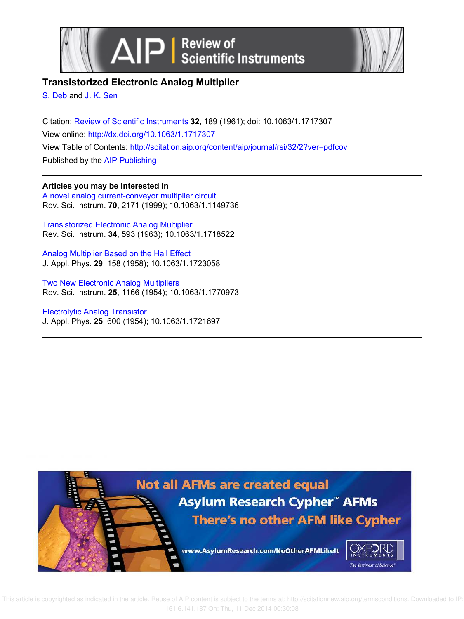



# **Transistorized Electronic Analog Multiplier**

S. Deb and J. K. Sen

Citation: Review of Scientific Instruments **32**, 189 (1961); doi: 10.1063/1.1717307 View online: http://dx.doi.org/10.1063/1.1717307 View Table of Contents: http://scitation.aip.org/content/aip/journal/rsi/32/2?ver=pdfcov Published by the AIP Publishing

**Articles you may be interested in**

A novel analog current-conveyor multiplier circuit Rev. Sci. Instrum. **70**, 2171 (1999); 10.1063/1.1149736

Transistorized Electronic Analog Multiplier Rev. Sci. Instrum. **34**, 593 (1963); 10.1063/1.1718522

Analog Multiplier Based on the Hall Effect J. Appl. Phys. **29**, 158 (1958); 10.1063/1.1723058

Two New Electronic Analog Multipliers Rev. Sci. Instrum. **25**, 1166 (1954); 10.1063/1.1770973

Electrolytic Analog Transistor J. Appl. Phys. **25**, 600 (1954); 10.1063/1.1721697



 This article is copyrighted as indicated in the article. Reuse of AIP content is subject to the terms at: http://scitationnew.aip.org/termsconditions. Downloaded to IP: 161.6.141.187 On: Thu, 11 Dec 2014 00:30:08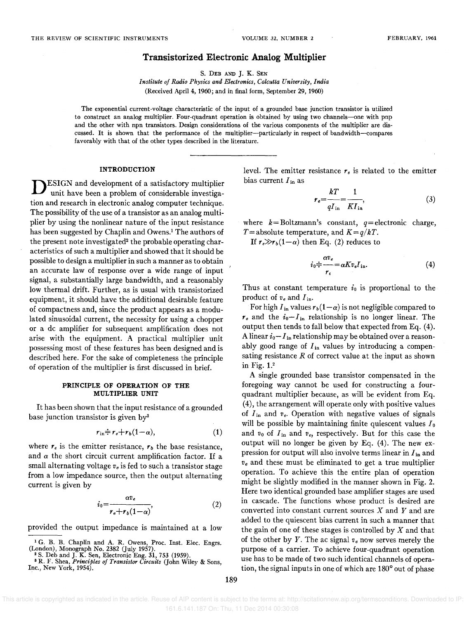## **Transistorized Electronic Analog Multiplier**

S. DEB AND J. K. SEN

*Institute of Radio Physics and Electronics, Calcutta University, India*  (Received April 4, 1960; and in final form, September 29, 1960)

The exponential current-voltage characteristic of the input of a grounded base junction transistor is utilized to construct an analog multiplier. Four-quadrant operation is obtained by using two channels-one with pnp and the other with npn transistors. Design considerations of the various components of the multiplier are discussed. It is shown that the performance of the multiplier-particularly in respect of bandwidth-compares favorably with that of the other types described in the literature.

## **INTRODUCTION**

D ESIGN and development of a satisfactory multiplier unit have been a problem of considerable investigation and research in electronic analog computer technique. The possibility of the use of a transistor as an analog multiplier by using the nonlinear nature of the input resistance has been suggested by Chaplin and Owens.! The authors of the present note investigated<sup>2</sup> the probable operating characteristics of such a multiplier and showed that it should be possible to design a multiplier in such a manner as to obtain an accurate law of response over a wide range of input signal, a substantially large bandwidth, and a reasonably low thermal drift. Further, as is usual with transistorized equipment, it should have the additional desirable feature of compactness and, since the product appears as a modulated sinusoidal current, the necessity for using a chopper or a dc amplifier for subsequent amplification does not arise with the equipment. A practical multiplier unit possessing most of these features has been designed and is described here. For the sake of completeness the principle of operation of the multiplier is first discussed in brief.

#### **PRINCIPLE OF OPERATION OF THE MULTIPLIER UNIT**

It has been shown that the input resistance of a grounded base junction transistor is given by<sup>3</sup>

$$
r_{\text{in}} \doteq r_e + r_b(1-\alpha), \qquad (1)
$$

where  $r_e$  is the emitter resistance,  $r_b$  the base resistance, and  $\alpha$  the short circuit current amplification factor. If a small alternating voltage  $v_e$  is fed to such a transistor stage from a low impedance source, then the output alternating current is given by

$$
i_0 = \frac{\alpha v_e}{r_e + r_b(1 - \alpha)},\tag{2}
$$

provided the output impedance is maintained at a low

<sup>8</sup>R. F. Shea, *Principles of Transistor Circuits* (John Wiley & Sons, Inc., New York, 1954).

level. The emitter resistance  $r_e$  is related to the emitter bias current *I* in as

$$
r_e = \frac{kT}{qI_{\rm in}} = \frac{1}{KI_{\rm in}},\tag{3}
$$

where  $k =$  Boltzmann's constant,  $q =$  electronic charge, T=absolute temperature, and  $K=q/kT$ .

If  $r \rightarrow r_b(1-\alpha)$  then Eq. (2) reduces to

$$
i_0 = \frac{\alpha v_e}{r_e} = \alpha K v_e I_{\text{in}}.\tag{4}
$$

Thus at constant temperature  $i_0$  is proportional to the product of *Ve* and *lin.* 

For high  $I_{in}$  values  $r_b(1-\alpha)$  is not negligible compared to  $r_e$  and the  $i_0 - I_{in}$  relationship is no longer linear. The output then tends to fall below that expected from Eq. (4). A linear  $i_0 - I_{\text{in}}$  relationship may be obtained over a reasonably good range of  $I_{\text{in}}$  values by introducing a compensating resistance *R* of correct value at the input as shown in Fig.  $1<sup>2</sup>$ 

A single grounded base transistor compensated in the foregoing way cannot be used for constructing a fourquadrant multiplier because, as will be evident from Eq. (4), the arrangement will operate only with positive values of  $I_{\text{in}}$  and  $v_e$ . Operation with negative values of signals will be possible by maintaining finite quiescent values  $I_0$ and  $v_0$  of  $I_{\text{in}}$  and  $v_e$ , respectively. But for this case the output will no longer be given by Eq. (4). The new expression for output will also involve terms linear in *lin* and *Ve* and these must be eliminated to get a true multiplier operation. To achieve this the entire plan of operation might be slightly modified in the manner shown in Fig. 2. Here two identical grounded base amplifier stages are used in cascade. The functions whose product is desired are converted into constant current sources X and *Y* and are added to the quiescent bias current in such a manner that the gain of one of these stages is controlled by  $X$  and that of the other by *Y*. The ac signal  $v_e$  now serves merely the purpose of a carrier. To achieve four-quadrant operation use has to be made of two such identical channels of operation, the signal inputs in one of which are 180° out of phase

 This article is copyrighted as indicated in the article. Reuse of AIP content is subject to the terms at: http://scitationnew.aip.org/termsconditions. Downloaded to IP: 161.6.141.187 On: Thu, 11 Dec 2014 00:30:08

<sup>&</sup>lt;sup>1</sup>G. B. B. Chaplin and A. R. Owens, Proc. Inst. Elec. Engrs. (London), Monograph No. 2382 (July 1957).<br><sup>2</sup> S. Deb and J. K. Sen, Electronic Eng. 31, 753 (1959).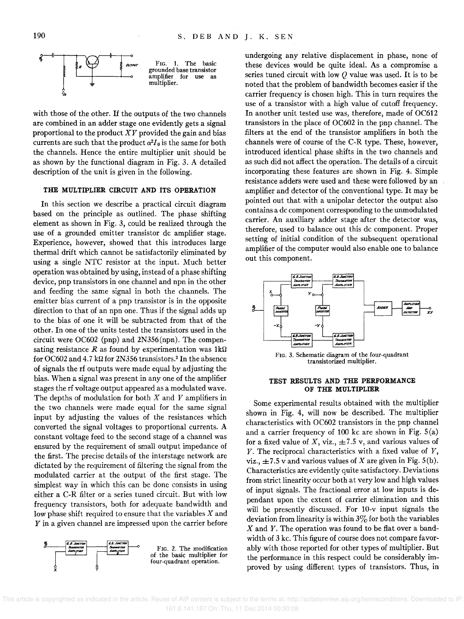

with those of the other. If the outputs of the two channels are combined in an adder stage one evidently gets a signal proportional to the product *XY* provided the gain and bias currents are such that the product  $\alpha^2 I_0$  is the same for both the channels. Hence the entire multiplier unit should be as shown by the functional diagram in Fig. 3. A detailed description of the unit is given in the following.

## THE MULTIPLIER CIRCUIT AND ITS OPERATION

In this section we describe a practical circuit diagram based on the principle as outlined. The phase shifting element as shown in Fig. 3, could be realized through the use of a grounded emitter transistor dc amplifier stage. Experience, however, showed that this introduces large thermal drift which cannot be satisfactorily eliminated by using a single NTC resistor at the input. Much better operation was obtained by using, instead of a phase shifting device, pnp transistors in one channel and npn in the other and feeding the same signal in both the channels. The emitter bias current of a pnp transistor is in the opposite direction to that of an npn one. Thus if the signal adds up to the bias of one it will be subtracted from that of the other. In one of the units tested the transistors used in the circuit were OC602 (pnp) and 2N356(npn). The compensating resistance  $R$  as found by experimentation was  $1k\Omega$ for OC602 and 4.7 kΩ for 2N356 transistors.<sup>2</sup> In the absence of signals the rf outputs were made equal by adjusting the bias. When a signal was present in anyone of the amplifier stages the rf voltage output appeared as a modulated wave. The depths of modulation for both *X* and *Y* amplifiers in the two channels were made equal for the same signal input by adjusting the values of the resistances which converted the signal voltages to proportional currents. A constant voltage feed to the second stage of a channel was ensured by the requirement of small output impedance of the first. The precise details of the interstage network are dictated by the requirement of filtering the signal from the modulated carrier at the output of the first stage. The simplest way in which this can be done consists in using either a C-R filter or a series tuned circuit. But with low frequency transistors, both for adequate bandwidth and low phase shift required to ensure that the variables *X* and *Y* in a given channel are impressed upon the carrier before



undergoing any relative displacement in phase, none of these devices would be quite ideal. As a compromise a series tuned circuit with low *Q* value was used. It is to be noted that the problem of bandwidth becomes easier if the carrier frequency is chosen high. This in turn requires the use of a transistor with a high value of cutoff frequency. In another unit tested use was, therefore, made of OC612 transistors in the place of OC602 in the pnp channel. The filters at the end of the transistor amplifiers in both the channels were of course of the C-R type. These, however, introduced identical phase shifts in the two channels and as such did not affect the operation. The details of a circuit incorporating these features are shown in Fig. 4. Simple resistance adders were used and these were followed by an amplifier and detector of the conventional type. It may be pointed out that with a unipolar detector the output also contains a dc component corresponding to the unmodulated carrier. An auxiliary adder stage after the detector was, therefore, used to balance out this dc component. Proper setting of initial condition of the subsequent operational amplifier of the computer would also enable one to balance out this component.



FIG. 3. Schematic diagram of the four-quadrant transistorized multiplier.

## TEST RESULTS AND THE PERFORMANCE OF THE MULTIPLIER

Some experimental results obtained with the multiplier shown in Fig. 4, will now be described. The multiplier characteristics with OC602 transistors in the pnp channel and a carrier frequency of 100 kc are shown in Fig. S(a) for a fixed value of *X*, viz.,  $\pm 7.5$  v, and various values of *Y.* The reciprocal characteristics with a fixed value of *Y,*  viz.,  $\pm 7.5$  v and various values of X are given in Fig. 5(b). Characteristics are evidently quite satisfactory. Deviations from strict linearity occur both at very low and high values of input signals. The fractional error at low inputs is dependant upon the extent of carrier elimination and this will be presently discussed. For 10-v input signals the deviation from linearity is within  $3\%$  for both the variables *X* and *Y.* The operation was found to be flat over a bandwidth of 3 kc. This figure of course does not compare favorably with those reported for other types of multiplier. But the performance in this respect could be considerably improved by using different types of transistors. Thus, in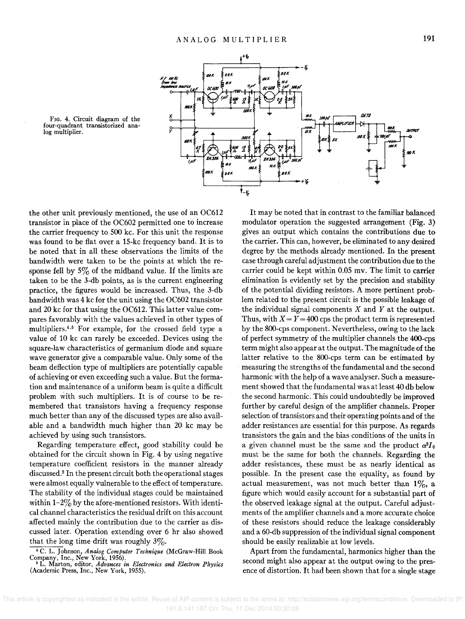

FIG. 4. Circuit diagram of the four-quadrant transistorized analog multiplier.

the other unit previously mentioned, the use of an OC612 transistor in place of the OC602 permitted one to increase the carrier frequency to 500 kc. For this unit the response was found to be flat over a 15-kc frequency band. It is to be noted that in all these observations the limits of the bandwidth were taken to be the points at which the response fell by  $5\%$  of the midband value. If the limits are taken to be the 3-db points, as is the current engineering practice, the figures would be increased. Thus, the 3-db bandwidth was 4 kc for the unit using the OC602 transistor and 20 kc for that using the OC612. This latter value compares favorably with the values achieved in other types of multipliers.<sup>4,5</sup> For example, for the crossed field type a value of 10 kc can rarely be exceeded. Devices using the square-law characteristics of germanium diode and square wave generator give a comparable value. Only some of the beam deflection type of multipliers are potentially capable of achieving or even exceeding such a value. But the formation and maintenance of a uniform beam is quite a difficult problem with such multipliers. It is of course to be remembered that transistors having a frequency response much better than any of the discussed types are also available and a bandwidth much higher than 20 kc may be achieved by using such transistors.

Regarding temperature effect, good stability could be obtained for the circuit shown in Fig. 4 by using negative temperature coefficient resistors in the manner already discussed.2 In the present circuit both the operational stages were almost equally vulnerable to the effect of temperature. The stability of the individual stages could be maintained within  $1-2\%$  by the afore-mentioned resistors. With identical channel characteristics the residual drift on this account affected mainly the contribution due to the carrier as discussed later. Operation extending over 6 hr also showed that the long time drift was roughly  $3\%$ .

• C. L. Johnson, *Analog Computer Technique* (McGraw-Hill Book Company, Inc., New York, 1956). <sup>6</sup>L. Marton, editor, *Advances in Eledronics and Electron Physics*  (Academic Press, Inc., New York, 1955),

It may be noted that in contrast to the familiar balanced modulator operation the suggested arrangement (Fig. 3) gives an output which contains the contributions due to the carrier. This can, however, be eliminated to any desired degree by the methods already mentioned. In the present case through careful adjustment the contribution due to the carrier could be kept within 0.05 mv. The limit to carrier elimination is evidently set by the precision and stability of the potential dividing resistors. A more pertinent problem related to the present circuit is the possible leakage of the individual signal components X and *Y* at the output. Thus, with  $X = Y = 400$  cps the product term is represented by the 8oo-cps component. Nevertheless, owing to the lack of perfect symmetry of the mUltiplier channels the 4OO-cps term might also appear at the output. The magnitude of the latter relative to the 800-cps term can be estimated by measuring the strengths of the fundamental and the second harmonic with the help of a wave analyser. Such a measurement showed that the fundamental was at least 40 db below the second harmonic. This could undoubtedly be improved further by careful design of the amplifier channels. Proper selection of transistors and their operating points and of the adder resistances are essential for this purpose. As regards transistors the gain and the bias conditions of the units in a given channel must be the same and the product  $\alpha^2 I_0$ must be the same for both the channels. Regarding the adder resistances, these must be as nearly identical as possible. In the present case the equality, as found by actual measurement, was not much better than  $1\%$ , a figure which would easily account for a substantial part of the observed leakage signal at the output. Careful adjustments of the amplifier channels and a more accurate choice of these resistors should reduce the leakage considerably and a 60-db suppression of the individual signal component should be easily realizable at low levels.

Apart from the fundamental, harmonics higher than the second might also appear at the output owing to the presence of distortion. It had been shown that for a single stage